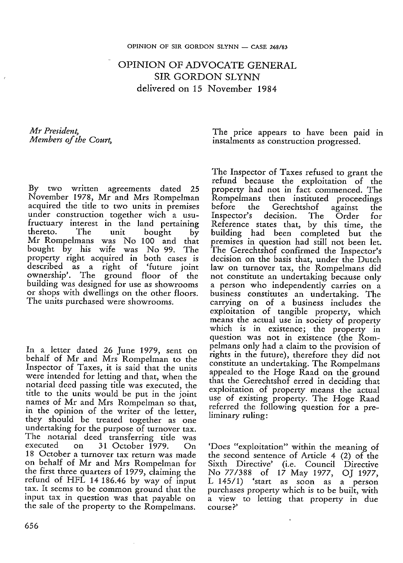OPINION OF ADVOCATE GENERAL SIR GORDON SLYNN delivered on 15 November 1984

*Mr President, Members of the Court,*

The price appears to have been paid in instalments as construction progressed.

By two written agreements dated 25 November 1978, Mr and Mrs Rompelman acquired the title to two units in premises under construction together wich a usufructuary interest in the land pertaining<br>thereto. The unit bought by thereto. The unit bought by Mr Rompelmans was No 100 and that bought by his wife was No 99. The property right acquired in both cases is described as a right of 'future joint ownership'. The ground floor of the building was designed for use as showrooms or shops with dwellings on the other floors. The units purchased were showrooms.

In a letter dated 26 June 1979, sent on behalf of Mr and Mrs Rompelman to the Inspector of Taxes, it is said that the units were intended for letting and that, when the notarial deed passing title was executed, the title to the units would be put in the joint names of Mr and Mrs Rompelman so that, in the opinion of the writer of the letter, they should be treated together as one undertaking for the purpose of turnover tax. The notarial deed transferring title was<br>executed on 31 October 1979 On 31 October 1979. On 18 October a turnover tax return was made on behalf of Mr and Mrs Rompelman for the first three quarters of 1979, claiming the refund of HFL 14 186.46 by way of input tax. It seems to be common ground that the input tax in question was that payable on the sale of the property to the Rompelmans.

The Inspector of Taxes refused to grant the refund because the exploitation of the property had not in fact commenced. The Rompelmans then instituted proceedings<br>before the Gerechtshof against the Gerechtshof against the<br>decision. The Order for Inspector's Reference states that, by this time, the building had been completed but the premises in question had still not been let. The Gerechtshof confirmed the Inspector's decision on the basis that, under the Dutch law on turnover tax, the Rompelmans did not constitute an undertaking because only a person who independently carries on a business constitutes an undertaking. The carrying on of a business includes the exploitation of tangible property, which means the actual use in society of property which is in existence; the property in question was not in existence (the Rompelmans only had a claim to the provision of rights in the future), therefore they did not constitute an undertaking. The Rompelmans appealed to the Hoge Raad on the ground that the Gerechtshof erred in deciding that exploitation of property means the actual use of existing property. The Hoge Raad referred the following question for a preliminary ruling:

'Does "exploitation" within the meaning of the second sentence of Article 4 (2) of the Sixth Directive' (i.e. Council Directive No 77/388 of 17 May 1977, OJ 1977, L 145/1) 'start as soon as a person purchases property which is to be built, with a view to letting that property in due course?'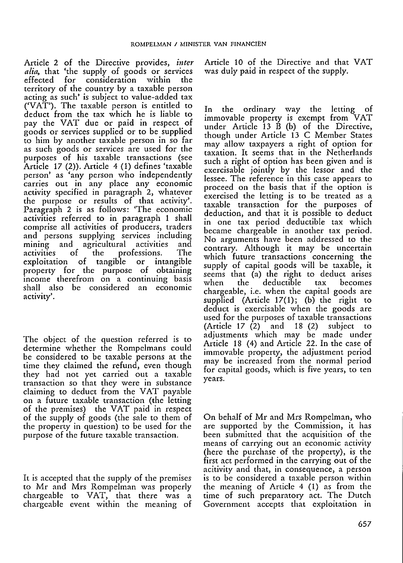Article 2 of the Directive provides, *inter alia*, that 'the supply of goods or services<br>effected for consideration within the effected for consideration within territory of the country by a taxable person acting as such' is subject to value-added tax ('VAT'). The taxable person is entitled to deduct from the tax which he is liable to pay the VAT due or paid in respect of goods or services supplied or to be supplied to him by another taxable person in so far as such goods or services are used for the purposes of his taxable transactions (see Article 17 (2)). Article 4 (1) defines 'taxable person' as 'any person who independently carries out in any place any economic activity specified in paragraph 2, whatever the purpose or results of that activity'. Paragraph 2 is as follows: 'The economic activities referred to in paragraph 1 shall comprise all activities of producers, traders and persons supplying services including and persons supprying services including mining and agricultural activities and<br>activities of the professions. The activities of the professions. The<br>exploitation of tangible or intangible property for the purpose of obtaining income therefrom on a continuing basis shall also be considered an economic activity'.

The object of the question referred is to determine whether the Rompelmans could be considered to be taxable persons at the time they claimed the refund, even though they had not yet carried out a taxable transaction so that they were in substance claiming to deduct from the VAT payable on a future taxable transaction (the letting of the premises) the VAT paid in respect of the supply of goods (the sale to them of the property in question) to be used for the purpose of the future taxable transaction.

It is accepted that the supply of the premises to Mr and Mrs Rompelman was properly chargeable to VAT, that there was a chargeable event within the meaning of Article 10 of the Directive and that VAT was duly paid in respect of the supply.

In the ordinary way the letting of immovable property is exempt from VAT under Article 13 B (b) of the Directive, though under Article 13 C Member States may allow taxpayers a right of option for taxation. It seems that in the Netherlands such a right of option has been given and is exercisable jointly by the lessor and the lessee. The reference in this case appears to proceed on the basis that if the option is exercised the letting is to be treated as a taxable transaction for the purposes of deduction, and that it is possible to deduct in one tax period deductible tax which became chargeable in another tax period. No arguments have been addressed to the contrary. Although it may be uncertain which future transactions concerning the supply of capital goods will be taxable, it seems that (a) the right to deduct arises<br>when the deductible tax becomes deductible chargeable, i.e. when the capital goods are supplied (Article 17(1); (b) the right to deduct is exercisable when the goods are used for the purposes of taxable transactions (Article 17 (2) and 18 (2) subject to adjustments which may be made under Article 18 (4) and Article 22. In the case of immovable property, the adjustment period may be increased from the normal period for capital goods, which is five years, to ten years.

On behalf of Mr and Mrs Rompelman, who are supported by the Commission, it has been submitted that the acquisition of the means of carrying out an economic activity (here the purchase of the property), is the first act performed in the carrying out of the acitivity and that, in consequence, a person is to be considered a taxable person within the meaning of Article 4 (1) as from the time of such preparatory act. The Dutch Government accepts that exploitation in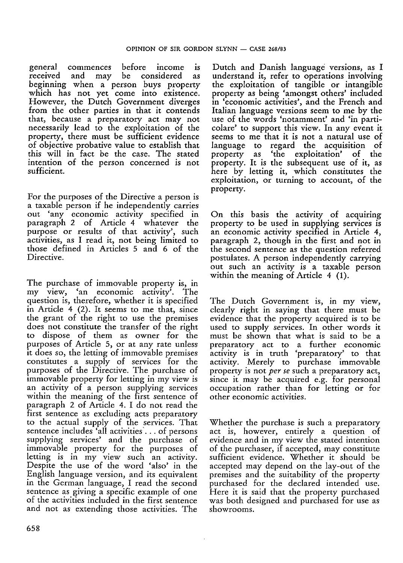general commences before income is received and may be considered as beginning when a person buys property which has not yet come into existence. However, the Dutch Government diverges from the other parties in that it contends that, because a preparatory act may not necessarily lead to the exploitation of the property, there must be sufficient evidence of objective probative value to establish that this will in fact be the case. The stated intention of the person concerned is not sufficient.

For the purposes of the Directive a person is <sup>a</sup> taxable person if he independently carries out 'any economic activity specified in paragraph 2 of Article 4 whatever the purpose or results of that activity', such activities, as I read it, not being limited to those defined in Articles 5 and 6 of the Directive.

The purchase of immovable property is, in my view, 'an economic activity'. The question is, therefore, whether it is specified in Article 4 (2). It seems to me that, since the grant of the right to use the premises does not constitute the transfer of the right to dispose of them as owner for the purposes of Article 5, or at any rate unless it does so, the letting of immovable premises constitutes a supply of services for the purposes of the Directive. The purchase of immovable property for letting in my view is an activity of a person supplying services within the meaning of the first sentence of paragraph 2 of Article 4. I do not read the first sentence as excluding acts preparatory to the actual supply of the services. That sentence includes 'all activities... of persons supplying services' and the purchase of immovable property for the purposes of letting is in my view such an activity. Despite the use of the word 'also' in the English language version, and its equivalent in the German language, I read the second sentence as giving a specific example of one of the activities included in the first sentence and not as extending those activities. The

Dutch and Danish language versions, as I understand it, refer to operations involving the exploitation of tangible or intangible property as being 'amongst others' included in 'economic activities', and the French and Italian language versions seem to me by the use of the words 'notamment' and 'in particolare' to support this view. In any event it seems to me that it is not a natural use of language to regard the acquisition of property as 'the exploitation' of the property. It is the subsequent use of it, as here by letting it, which constitutes the exploitation, or turning to account, of the property.

On this basis the activity of acquiring property to be used in supplying services is an economic activity specified in Article 4, paragraph 2, though in the first and not in the second sentence as the question referred postulates. A person independently carrying out such an activity is a taxable person within the meaning of Article 4 (1).

The Dutch Government is, in my view, clearly right in saying that there must be evidence that the property acquired is to be used to supply services. In other words it must be shown that what is said to be a preparatory act to a further economic activity is in truth 'preparatory' to that activity. Merely to purchase immovable property is not *per se* such a preparatory act, since it may be acquired e.g. for personal occupation rather than for letting or for other economic activities.

Whether the purchase is such a preparatory act is, however, entirely a question of evidence and in my view the stated intention of the purchaser, if accepted, may constitute sufficient evidence. Whether it should be accepted may depend on the lay-out of the premises and the suitability of the property purchased for the declared intended use. Here it is said that the property purchased was both designed and purchased for use as showrooms.